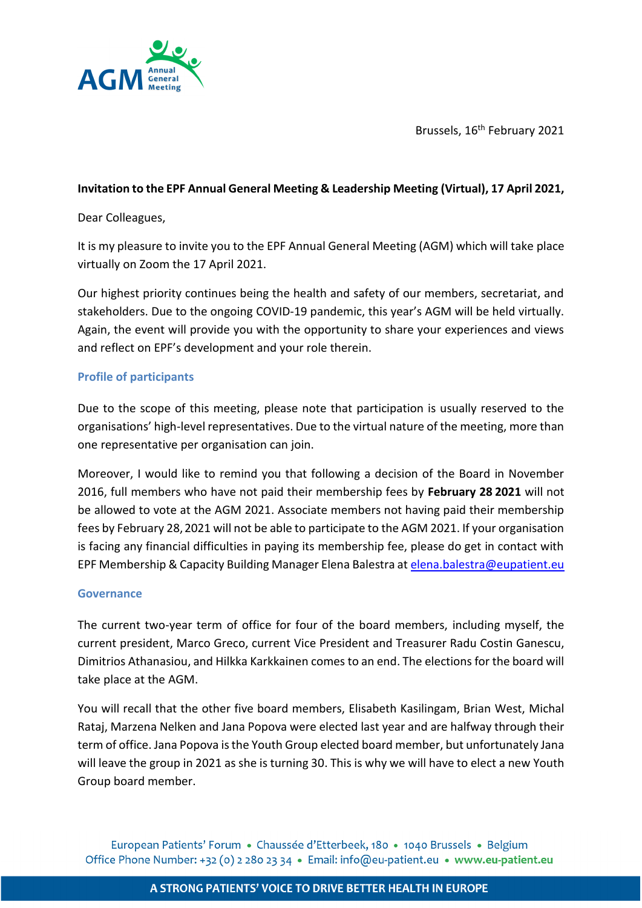

Brussels, 16<sup>th</sup> February 2021

## **Invitation to the EPF Annual General Meeting & Leadership Meeting (Virtual), 17 April 2021,**

#### Dear Colleagues,

It is my pleasure to invite you to the EPF Annual General Meeting (AGM) which will take place virtually on Zoom the 17 April 2021.

Our highest priority continues being the health and safety of our members, secretariat, and stakeholders. Due to the ongoing COVID-19 pandemic, this year's AGM will be held virtually. Again, the event will provide you with the opportunity to share your experiences and views and reflect on EPF's development and your role therein.

### **Profile of participants**

Due to the scope of this meeting, please note that participation is usually reserved to the organisations' high-level representatives. Due to the virtual nature of the meeting, more than one representative per organisation can join.

Moreover, I would like to remind you that following a decision of the Board in November 2016, full members who have not paid their membership fees by **February 28 2021** will not be allowed to vote at the AGM 2021. Associate members not having paid their membership fees by February 28,2021 will not be able to participate to the AGM 2021. If your organisation is facing any financial difficulties in paying its membership fee, please do get in contact with EPF Membership & Capacity Building Manager Elena Balestra a[t elena.balestra@eupatient.eu](mailto:elena.balestra@eupatient.eu)

### **Governance**

The current two-year term of office for four of the board members, including myself, the current president, Marco Greco, current Vice President and Treasurer Radu Costin Ganescu, Dimitrios Athanasiou, and Hilkka Karkkainen comes to an end. The elections for the board will take place at the AGM.

You will recall that the other five board members, Elisabeth Kasilingam, Brian West, Michal Rataj, Marzena Nelken and Jana Popova were elected last year and are halfway through their term of office. Jana Popova is the Youth Group elected board member, but unfortunately Jana will leave the group in 2021 as she is turning 30. This is why we will have to elect a new Youth Group board member.

European Patients' Forum • Chaussée d'Etterbeek, 180 • 1040 Brussels • Belgium Office Phone Number: +32 (0) 2 280 23 34 • Email: info@eu-patient.eu • www.eu-patient.eu